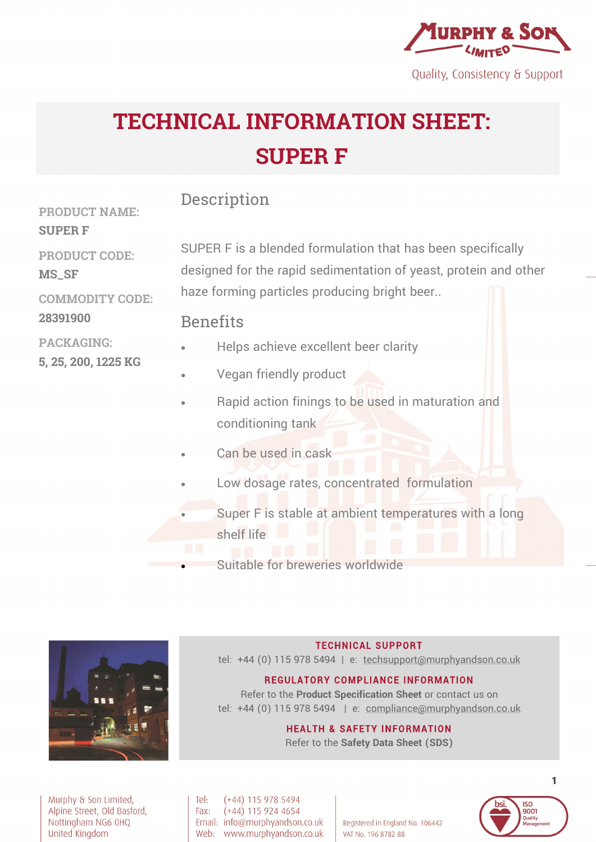

Quality, Consistency & Support

# **TECHNICAL INFORMATION SHEET: SUPER F**

## Description

**PRODUCT NAME: SUPER F PRODUCT CODE: MS\_SF COMMODITY CODE:**

**28391900**

SUPER F is a blended formulation that has been specifically designed for the rapid sedimentation of yeast, protein and other haze forming particles producing bright beer..

## **Benefits**

- **PACKAGING: 5, 25, 200, 1225 KG**  • Helps achieve excellent beer clarity
	- Vegan friendly product
	- Rapid action finings to be used in maturation and conditioning tank
	- Can be used in cask
	- Low dosage rates, concentrated formulation
	- Super F is stable at ambient temperatures with a long shelf life
	- Suitable for breweries worldwide



#### **TECHNICAL SUPPORT**

tel: +44 (0) 115 978 5494 | e: techsupport@murphyandson.co.uk

#### **REGULATORY COMPLIANCE INFORMATION**

Refer to the **Product Specification Sheet** or contact us on tel: +44 (0) 115 978 5494 | e: compliance@murphyandson.co.uk

#### **HEALTH & SAFETY INFORMATION**

Refer to the **Safety Data Sheet (SDS)**

Murphy & Son Limited, Alpine Street, Old Basford, Nottingham NG6 0HQ United Kingdom

Tel:  $(+44)$  115 978 5494  $(+44)$  115 924 4654 Fax: Email: info@murphyandson.co.uk Web: www.murphyandson.co.uk

Registered in England No. 106442 VAT No. 196 8782 88